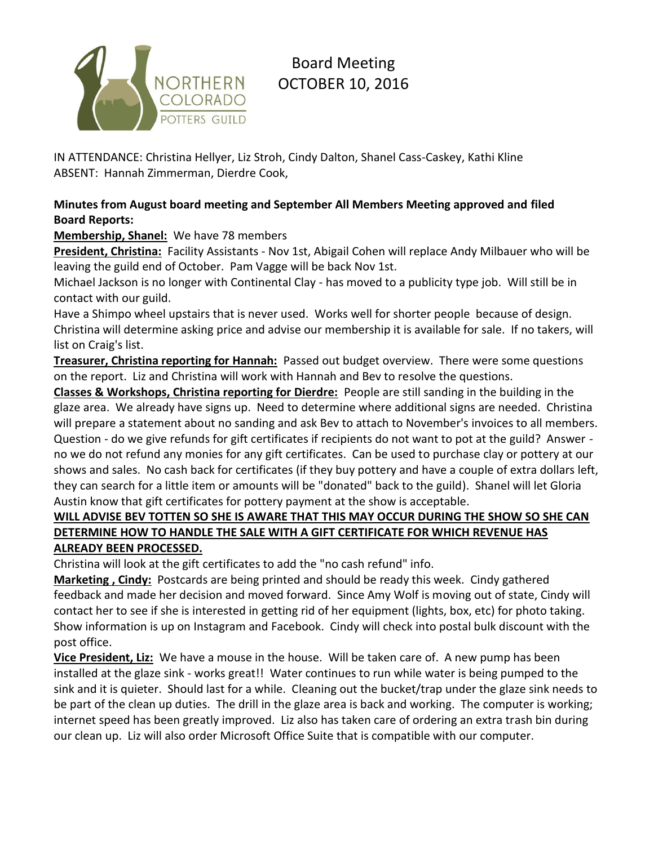

# Board Meeting OCTOBER 10, 2016

IN ATTENDANCE: Christina Hellyer, Liz Stroh, Cindy Dalton, Shanel Cass-Caskey, Kathi Kline ABSENT: Hannah Zimmerman, Dierdre Cook,

## **Minutes from August board meeting and September All Members Meeting approved and filed Board Reports:**

# **Membership, Shanel:** We have 78 members

**President, Christina:** Facility Assistants - Nov 1st, Abigail Cohen will replace Andy Milbauer who will be leaving the guild end of October. Pam Vagge will be back Nov 1st.

Michael Jackson is no longer with Continental Clay - has moved to a publicity type job. Will still be in contact with our guild.

Have a Shimpo wheel upstairs that is never used. Works well for shorter people because of design. Christina will determine asking price and advise our membership it is available for sale. If no takers, will list on Craig's list.

**Treasurer, Christina reporting for Hannah:** Passed out budget overview. There were some questions on the report. Liz and Christina will work with Hannah and Bev to resolve the questions.

**Classes & Workshops, Christina reporting for Dierdre:** People are still sanding in the building in the glaze area. We already have signs up. Need to determine where additional signs are needed. Christina will prepare a statement about no sanding and ask Bev to attach to November's invoices to all members. Question - do we give refunds for gift certificates if recipients do not want to pot at the guild? Answer no we do not refund any monies for any gift certificates. Can be used to purchase clay or pottery at our shows and sales. No cash back for certificates (if they buy pottery and have a couple of extra dollars left, they can search for a little item or amounts will be "donated" back to the guild). Shanel will let Gloria Austin know that gift certificates for pottery payment at the show is acceptable.

# **WILL ADVISE BEV TOTTEN SO SHE IS AWARE THAT THIS MAY OCCUR DURING THE SHOW SO SHE CAN DETERMINE HOW TO HANDLE THE SALE WITH A GIFT CERTIFICATE FOR WHICH REVENUE HAS ALREADY BEEN PROCESSED.**

Christina will look at the gift certificates to add the "no cash refund" info.

**Marketing , Cindy:** Postcards are being printed and should be ready this week. Cindy gathered feedback and made her decision and moved forward. Since Amy Wolf is moving out of state, Cindy will contact her to see if she is interested in getting rid of her equipment (lights, box, etc) for photo taking. Show information is up on Instagram and Facebook. Cindy will check into postal bulk discount with the post office.

**Vice President, Liz:** We have a mouse in the house. Will be taken care of. A new pump has been installed at the glaze sink - works great!! Water continues to run while water is being pumped to the sink and it is quieter. Should last for a while. Cleaning out the bucket/trap under the glaze sink needs to be part of the clean up duties. The drill in the glaze area is back and working. The computer is working; internet speed has been greatly improved. Liz also has taken care of ordering an extra trash bin during our clean up. Liz will also order Microsoft Office Suite that is compatible with our computer.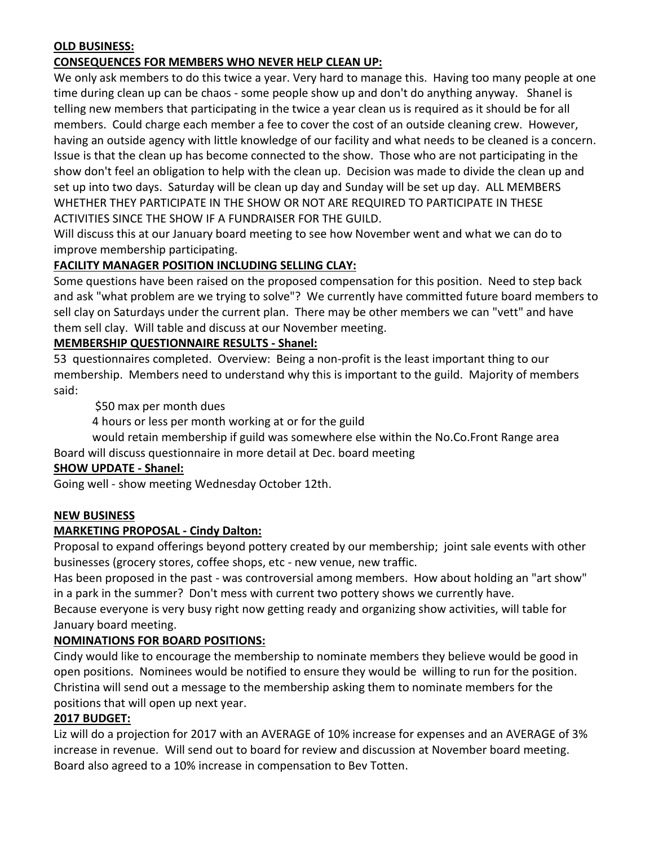## **OLD BUSINESS:**

#### **CONSEQUENCES FOR MEMBERS WHO NEVER HELP CLEAN UP:**

We only ask members to do this twice a year. Very hard to manage this. Having too many people at one time during clean up can be chaos - some people show up and don't do anything anyway. Shanel is telling new members that participating in the twice a year clean us is required as it should be for all members. Could charge each member a fee to cover the cost of an outside cleaning crew. However, having an outside agency with little knowledge of our facility and what needs to be cleaned is a concern. Issue is that the clean up has become connected to the show. Those who are not participating in the show don't feel an obligation to help with the clean up. Decision was made to divide the clean up and set up into two days. Saturday will be clean up day and Sunday will be set up day. ALL MEMBERS WHETHER THEY PARTICIPATE IN THE SHOW OR NOT ARE REQUIRED TO PARTICIPATE IN THESE ACTIVITIES SINCE THE SHOW IF A FUNDRAISER FOR THE GUILD.

Will discuss this at our January board meeting to see how November went and what we can do to improve membership participating.

#### **FACILITY MANAGER POSITION INCLUDING SELLING CLAY:**

Some questions have been raised on the proposed compensation for this position. Need to step back and ask "what problem are we trying to solve"? We currently have committed future board members to sell clay on Saturdays under the current plan. There may be other members we can "vett" and have them sell clay. Will table and discuss at our November meeting.

## **MEMBERSHIP QUESTIONNAIRE RESULTS - Shanel:**

53 questionnaires completed. Overview: Being a non-profit is the least important thing to our membership. Members need to understand why this is important to the guild. Majority of members said:

\$50 max per month dues

4 hours or less per month working at or for the guild

would retain membership if guild was somewhere else within the No.Co.Front Range area Board will discuss questionnaire in more detail at Dec. board meeting

#### **SHOW UPDATE - Shanel:**

Going well - show meeting Wednesday October 12th.

#### **NEW BUSINESS**

#### **MARKETING PROPOSAL - Cindy Dalton:**

Proposal to expand offerings beyond pottery created by our membership; joint sale events with other businesses (grocery stores, coffee shops, etc - new venue, new traffic.

Has been proposed in the past - was controversial among members. How about holding an "art show" in a park in the summer? Don't mess with current two pottery shows we currently have.

Because everyone is very busy right now getting ready and organizing show activities, will table for January board meeting.

#### **NOMINATIONS FOR BOARD POSITIONS:**

Cindy would like to encourage the membership to nominate members they believe would be good in open positions. Nominees would be notified to ensure they would be willing to run for the position. Christina will send out a message to the membership asking them to nominate members for the positions that will open up next year.

#### **2017 BUDGET:**

Liz will do a projection for 2017 with an AVERAGE of 10% increase for expenses and an AVERAGE of 3% increase in revenue. Will send out to board for review and discussion at November board meeting. Board also agreed to a 10% increase in compensation to Bev Totten.